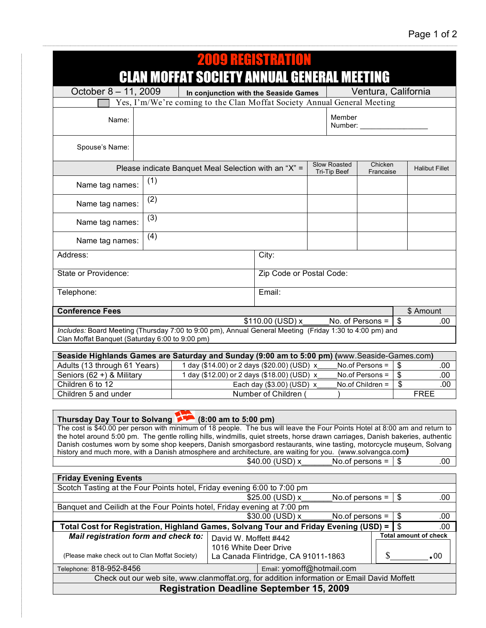| 2009 RECISTRATIO                                                                                                                                                                                                                                       |                                                                                                    |                                                                                  |                                       |                          |                     |                                 |  |
|--------------------------------------------------------------------------------------------------------------------------------------------------------------------------------------------------------------------------------------------------------|----------------------------------------------------------------------------------------------------|----------------------------------------------------------------------------------|---------------------------------------|--------------------------|---------------------|---------------------------------|--|
| <b>CLAN MOFFAT SOCIETY ANNUAL GENERAL MEETING</b>                                                                                                                                                                                                      |                                                                                                    |                                                                                  |                                       |                          |                     |                                 |  |
| October 8 - 11, 2009                                                                                                                                                                                                                                   |                                                                                                    |                                                                                  | In conjunction with the Seaside Games |                          | Ventura, California |                                 |  |
| Yes, I'm/We're coming to the Clan Moffat Society Annual General Meeting                                                                                                                                                                                |                                                                                                    |                                                                                  |                                       |                          |                     |                                 |  |
| Name:                                                                                                                                                                                                                                                  |                                                                                                    |                                                                                  |                                       | Member<br>Number:        |                     |                                 |  |
| Spouse's Name:                                                                                                                                                                                                                                         |                                                                                                    |                                                                                  |                                       |                          |                     |                                 |  |
| Please indicate Banquet Meal Selection with an "X" =                                                                                                                                                                                                   |                                                                                                    | Slow Roasted<br>Tri-Tip Beef                                                     | Chicken<br>Francaise                  | <b>Halibut Fillet</b>    |                     |                                 |  |
| (1)<br>Name tag names:                                                                                                                                                                                                                                 |                                                                                                    |                                                                                  |                                       |                          |                     |                                 |  |
| (2)<br>Name tag names:                                                                                                                                                                                                                                 |                                                                                                    |                                                                                  |                                       |                          |                     |                                 |  |
| (3)<br>Name tag names:                                                                                                                                                                                                                                 |                                                                                                    |                                                                                  |                                       |                          |                     |                                 |  |
| (4)<br>Name tag names:                                                                                                                                                                                                                                 |                                                                                                    |                                                                                  |                                       |                          |                     |                                 |  |
| Address:                                                                                                                                                                                                                                               | City:                                                                                              |                                                                                  |                                       |                          |                     |                                 |  |
| State or Providence:                                                                                                                                                                                                                                   |                                                                                                    |                                                                                  |                                       | Zip Code or Postal Code: |                     |                                 |  |
| Telephone:                                                                                                                                                                                                                                             |                                                                                                    |                                                                                  | Email:                                |                          |                     |                                 |  |
| <b>Conference Fees</b><br>\$ Amount                                                                                                                                                                                                                    |                                                                                                    |                                                                                  |                                       |                          |                     |                                 |  |
| No. of Persons =<br>$\boldsymbol{\mathsf{S}}$<br>\$110.00 (USD) x<br>.00<br>Includes: Board Meeting (Thursday 7:00 to 9:00 pm), Annual General Meeting (Friday 1:30 to 4:00 pm) and<br>Clan Moffat Banquet (Saturday 6:00 to 9:00 pm)                  |                                                                                                    |                                                                                  |                                       |                          |                     |                                 |  |
| Seaside Highlands Games are Saturday and Sunday (9:00 am to 5:00 pm) (www.Seaside-Games.com)                                                                                                                                                           |                                                                                                    |                                                                                  |                                       |                          |                     |                                 |  |
| Adults (13 through 61 Years)                                                                                                                                                                                                                           | 1 day (\$14.00) or 2 days (\$20.00) (USD) x<br>$\boldsymbol{\mathsf{S}}$<br>No.of Persons =<br>.00 |                                                                                  |                                       |                          |                     |                                 |  |
| Seniors (62 +) & Military                                                                                                                                                                                                                              | 1 day (\$12.00) or 2 days (\$18.00) (USD) x                                                        |                                                                                  |                                       |                          | No.of Persons =     | $\overline{\mathbf{S}}$<br>.00  |  |
| Children 6 to 12                                                                                                                                                                                                                                       | Each day (\$3.00) (USD) x                                                                          |                                                                                  |                                       |                          | No.of Children =    | $\overline{\mathcal{S}}$<br>.00 |  |
| Children 5 and under                                                                                                                                                                                                                                   | Number of Children<br><b>FREE</b>                                                                  |                                                                                  |                                       |                          |                     |                                 |  |
|                                                                                                                                                                                                                                                        |                                                                                                    |                                                                                  |                                       |                          |                     |                                 |  |
| Thursday Day Tour to Solvang 1988 (8:00 am to 5:00 pm)                                                                                                                                                                                                 |                                                                                                    |                                                                                  |                                       |                          |                     |                                 |  |
| The cost is \$40.00 per person with minimum of 18 people. The bus will leave the Four Points Hotel at 8:00 am and return to                                                                                                                            |                                                                                                    |                                                                                  |                                       |                          |                     |                                 |  |
| the hotel around 5:00 pm. The gentle rolling hills, windmills, quiet streets, horse drawn carriages, Danish bakeries, authentic<br>Danish costumes worn by some shop keepers, Danish smorgasbord restaurants, wine tasting, motorcycle museum, Solvang |                                                                                                    |                                                                                  |                                       |                          |                     |                                 |  |
| history and much more, with a Danish atmosphere and architecture, are waiting for you. (www.solvangca.com)                                                                                                                                             |                                                                                                    |                                                                                  |                                       |                          |                     |                                 |  |
| \$40.00 (USD) x<br>No.of persons $=$<br>\$<br>.00                                                                                                                                                                                                      |                                                                                                    |                                                                                  |                                       |                          |                     |                                 |  |
| <b>Friday Evening Events</b>                                                                                                                                                                                                                           |                                                                                                    |                                                                                  |                                       |                          |                     |                                 |  |
| Scotch Tasting at the Four Points hotel, Friday evening 6:00 to 7:00 pm                                                                                                                                                                                |                                                                                                    |                                                                                  |                                       |                          |                     |                                 |  |
| \$<br>\$25.00 (USD) x<br>No.of persons $=$<br>.00                                                                                                                                                                                                      |                                                                                                    |                                                                                  |                                       |                          |                     |                                 |  |
| Banquet and Ceilidh at the Four Points hotel, Friday evening at 7:00 pm                                                                                                                                                                                |                                                                                                    |                                                                                  |                                       |                          |                     |                                 |  |
| $\boldsymbol{\mathsf{S}}$<br>\$30.00 (USD) x<br>No.of persons =<br>.00                                                                                                                                                                                 |                                                                                                    |                                                                                  |                                       |                          |                     |                                 |  |
| Total Cost for Registration, Highland Games, Solvang Tour and Friday Evening (USD) =                                                                                                                                                                   |                                                                                                    |                                                                                  |                                       |                          |                     | \$<br>.00                       |  |
| Mail registration form and check to:                                                                                                                                                                                                                   |                                                                                                    | David W. Moffett #442                                                            |                                       |                          |                     | <b>Total amount of check</b>    |  |
| (Please make check out to Clan Moffat Society)                                                                                                                                                                                                         |                                                                                                    | 1016 White Deer Drive<br>\$<br>$\cdot$ 00<br>La Canada Flintridge, CA 91011-1863 |                                       |                          |                     |                                 |  |
| Telephone: 818-952-8456                                                                                                                                                                                                                                | Email: yomoff@hotmail.com                                                                          |                                                                                  |                                       |                          |                     |                                 |  |
| Check out our web site, www.clanmoffat.org, for addition information or Email David Moffett                                                                                                                                                            |                                                                                                    |                                                                                  |                                       |                          |                     |                                 |  |
| <b>Registration Deadline September 15, 2009</b>                                                                                                                                                                                                        |                                                                                                    |                                                                                  |                                       |                          |                     |                                 |  |